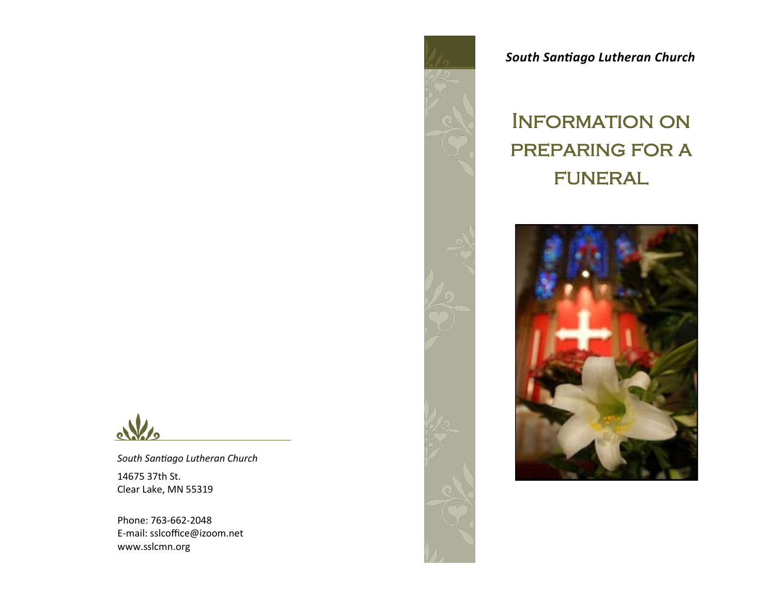

*South Santiago Lutheran Church*

# Information on preparing for a **FUNERAL**



*South Santiago Lutheran Church*

14675 37th St. Clear Lake, MN 55319

Phone: 763-662-2048 E-mail: sslcoffice@izoom.net www.sslcmn.org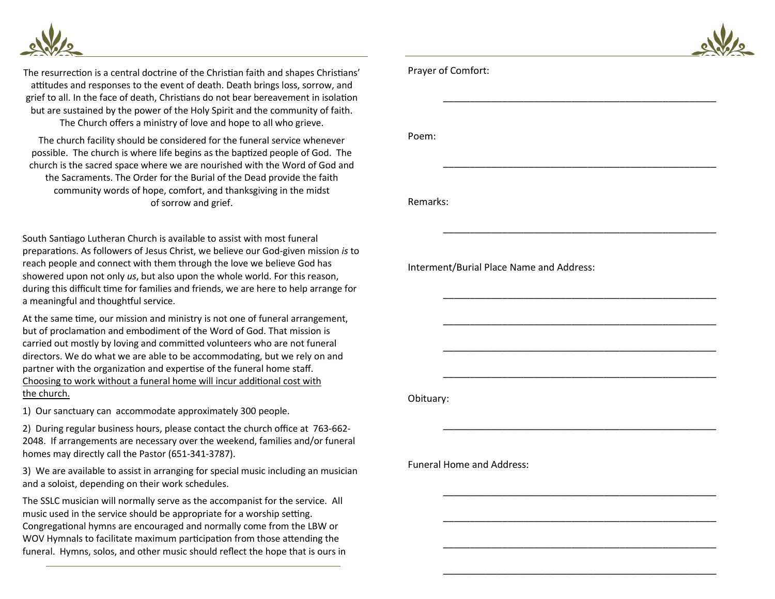

The resurrection is a central doctrine of the Christian faith and shapes Christians' attitudes and responses to the event of death. Death brings loss, sorrow, and grief to all. In the face of death, Christians do not bear bereavement in isolation but are sustained by the power of the Holy Spirit and the community of faith. The Church offers a ministry of love and hope to all who grieve.

The church facility should be considered for the funeral service whenever possible. The church is where life begins as the baptized people of God. The church is the sacred space where we are nourished with the Word of God and the Sacraments. The Order for the Burial of the Dead provide the faith community words of hope, comfort, and thanksgiving in the midst of sorrow and grief.

South Santiago Lutheran Church is available to assist with most funeral preparations. As followers of Jesus Christ, we believe our God-given mission *is* to reach people and connect with them through the love we believe God has showered upon not only *us*, but also upon the whole world. For this reason, during this difficult time for families and friends, we are here to help arrange for a meaningful and thoughtful service.

At the same time, our mission and ministry is not one of funeral arrangement, but of proclamation and embodiment of the Word of God. That mission is carried out mostly by loving and committed volunteers who are not funeral directors. We do what we are able to be accommodating, but we rely on and partner with the organization and expertise of the funeral home staff. Choosing to work without a funeral home will incur additional cost with the church.

1) Our sanctuary can accommodate approximately 300 people.

2) During regular business hours, please contact the church office at 763-662- 2048. If arrangements are necessary over the weekend, families and/or funeral homes may directly call the Pastor (651-341-3787).

3) We are available to assist in arranging for special music including an musician and a soloist, depending on their work schedules.

The SSLC musician will normally serve as the accompanist for the service. All music used in the service should be appropriate for a worship setting. Congregational hymns are encouraged and normally come from the LBW or WOV Hymnals to facilitate maximum participation from those attending the funeral. Hymns, solos, and other music should reflect the hope that is ours in

# Prayer of Comfort: \_\_\_\_\_\_\_\_\_\_\_\_\_\_\_\_\_\_\_\_\_\_\_\_\_\_\_\_\_\_\_\_\_\_\_\_\_\_\_\_\_\_\_\_\_\_\_\_\_\_\_ Poem: \_\_\_\_\_\_\_\_\_\_\_\_\_\_\_\_\_\_\_\_\_\_\_\_\_\_\_\_\_\_\_\_\_\_\_\_\_\_\_\_\_\_\_\_\_\_\_\_\_\_\_ Remarks: \_\_\_\_\_\_\_\_\_\_\_\_\_\_\_\_\_\_\_\_\_\_\_\_\_\_\_\_\_\_\_\_\_\_\_\_\_\_\_\_\_\_\_\_\_\_\_\_\_\_\_ Interment/Burial Place Name and Address: \_\_\_\_\_\_\_\_\_\_\_\_\_\_\_\_\_\_\_\_\_\_\_\_\_\_\_\_\_\_\_\_\_\_\_\_\_\_\_\_\_\_\_\_\_\_\_\_\_\_\_ \_\_\_\_\_\_\_\_\_\_\_\_\_\_\_\_\_\_\_\_\_\_\_\_\_\_\_\_\_\_\_\_\_\_\_\_\_\_\_\_\_\_\_\_\_\_\_\_\_\_\_ \_\_\_\_\_\_\_\_\_\_\_\_\_\_\_\_\_\_\_\_\_\_\_\_\_\_\_\_\_\_\_\_\_\_\_\_\_\_\_\_\_\_\_\_\_\_\_\_\_\_\_ \_\_\_\_\_\_\_\_\_\_\_\_\_\_\_\_\_\_\_\_\_\_\_\_\_\_\_\_\_\_\_\_\_\_\_\_\_\_\_\_\_\_\_\_\_\_\_\_\_\_\_ Obituary: \_\_\_\_\_\_\_\_\_\_\_\_\_\_\_\_\_\_\_\_\_\_\_\_\_\_\_\_\_\_\_\_\_\_\_\_\_\_\_\_\_\_\_\_\_\_\_\_\_\_\_ Funeral Home and Address: \_\_\_\_\_\_\_\_\_\_\_\_\_\_\_\_\_\_\_\_\_\_\_\_\_\_\_\_\_\_\_\_\_\_\_\_\_\_\_\_\_\_\_\_\_\_\_\_\_\_\_ \_\_\_\_\_\_\_\_\_\_\_\_\_\_\_\_\_\_\_\_\_\_\_\_\_\_\_\_\_\_\_\_\_\_\_\_\_\_\_\_\_\_\_\_\_\_\_\_\_\_\_ \_\_\_\_\_\_\_\_\_\_\_\_\_\_\_\_\_\_\_\_\_\_\_\_\_\_\_\_\_\_\_\_\_\_\_\_\_\_\_\_\_\_\_\_\_\_\_\_\_\_\_

\_\_\_\_\_\_\_\_\_\_\_\_\_\_\_\_\_\_\_\_\_\_\_\_\_\_\_\_\_\_\_\_\_\_\_\_\_\_\_\_\_\_\_\_\_\_\_\_\_\_\_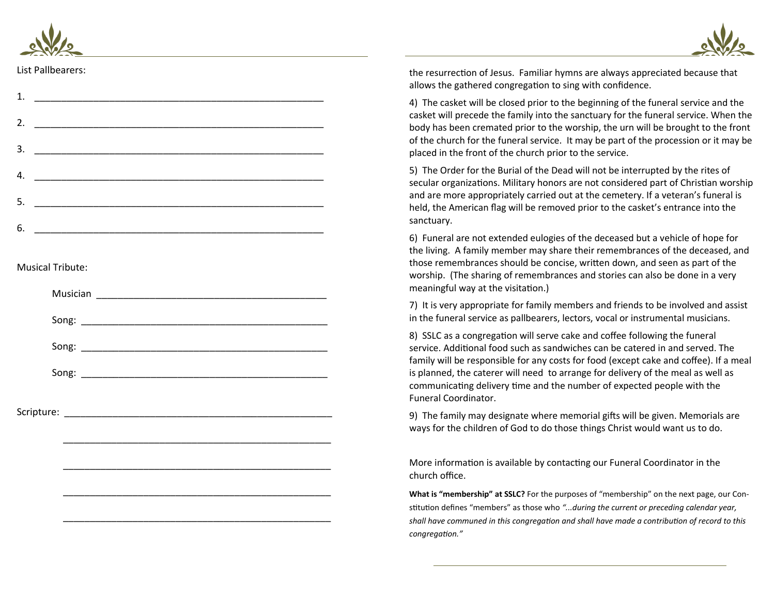



#### List Pallbearers:

| 1. |                                                             |  |
|----|-------------------------------------------------------------|--|
| 2. |                                                             |  |
| 3. |                                                             |  |
|    |                                                             |  |
| 4. |                                                             |  |
| 5. |                                                             |  |
| 6. |                                                             |  |
|    | Musical Tribute:                                            |  |
|    |                                                             |  |
|    |                                                             |  |
|    |                                                             |  |
|    |                                                             |  |
|    |                                                             |  |
|    |                                                             |  |
|    | <u> 1989 - Johann Stoff, amerikansk politiker (d. 1989)</u> |  |
|    |                                                             |  |
|    |                                                             |  |
|    |                                                             |  |
|    |                                                             |  |

the resurrection of Jesus. Familiar hymns are always appreciated because that allows the gathered congregation to sing with confidence.

4) The casket will be closed prior to the beginning of the funeral service and the casket will precede the family into the sanctuary for the funeral service. When the body has been cremated prior to the worship, the urn will be brought to the front of the church for the funeral service. It may be part of the procession or it may be placed in the front of the church prior to the service.

5) The Order for the Burial of the Dead will not be interrupted by the rites of secular organizations. Military honors are not considered part of Christian worship and are more appropriately carried out at the cemetery. If a veteran's funeral is held, the American flag will be removed prior to the casket's entrance into the sanctuary.

6) Funeral are not extended eulogies of the deceased but a vehicle of hope for the living. A family member may share their remembrances of the deceased, and those remembrances should be concise, written down, and seen as part of the worship. (The sharing of remembrances and stories can also be done in a very meaningful way at the visitation.)

7) It is very appropriate for family members and friends to be involved and assist in the funeral service as pallbearers, lectors, vocal or instrumental musicians.

8) SSLC as a congregation will serve cake and coffee following the funeral service. Additional food such as sandwiches can be catered in and served. The family will be responsible for any costs for food (except cake and coffee). If a meal is planned, the caterer will need to arrange for delivery of the meal as well as communicating delivery time and the number of expected people with the Funeral Coordinator.

9) The family may designate where memorial gifts will be given. Memorials are ways for the children of God to do those things Christ would want us to do.

More information is available by contacting our Funeral Coordinator in the church office.

**What is "membership" at SSLC?** For the purposes of "membership" on the next page, our Constitution defines "members" as those who *"...during the current or preceding calendar year, shall have communed in this congregation and shall have made a contribution of record to this congregation."*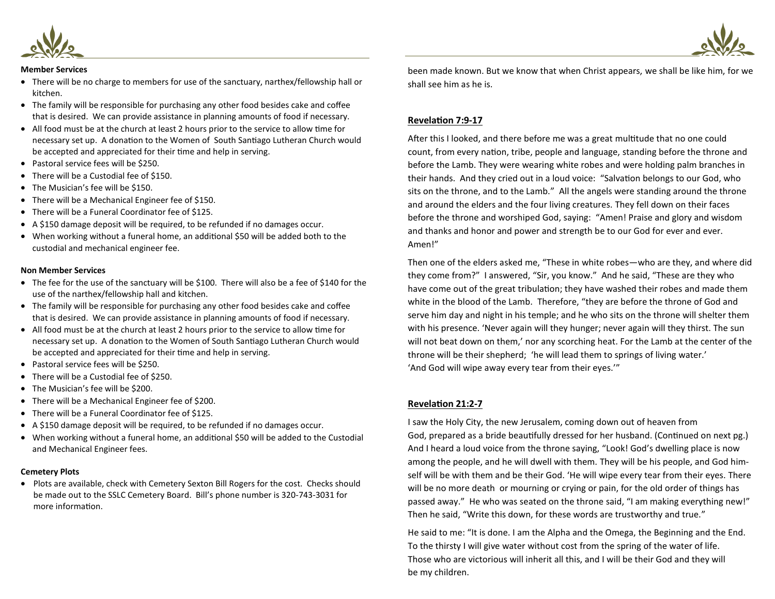

- There will be no charge to members for use of the sanctuary, narthex/fellowship hall or kitchen.
- The family will be responsible for purchasing any other food besides cake and coffee that is desired. We can provide assistance in planning amounts of food if necessary.
- All food must be at the church at least 2 hours prior to the service to allow time for necessary set up. A donation to the Women of South Santiago Lutheran Church would be accepted and appreciated for their time and help in serving.
- Pastoral service fees will be \$250.
- There will be a Custodial fee of \$150.
- The Musician's fee will be \$150.
- There will be a Mechanical Engineer fee of \$150.
- There will be a Funeral Coordinator fee of \$125.
- A \$150 damage deposit will be required, to be refunded if no damages occur.
- When working without a funeral home, an additional \$50 will be added both to the custodial and mechanical engineer fee.

### **Non Member Services**

- The fee for the use of the sanctuary will be \$100. There will also be a fee of \$140 for the use of the narthex/fellowship hall and kitchen.
- The family will be responsible for purchasing any other food besides cake and coffee that is desired. We can provide assistance in planning amounts of food if necessary.
- All food must be at the church at least 2 hours prior to the service to allow time for necessary set up. A donation to the Women of South Santiago Lutheran Church would be accepted and appreciated for their time and help in serving.
- Pastoral service fees will be \$250.
- There will be a Custodial fee of \$250.
- The Musician's fee will be \$200.
- There will be a Mechanical Engineer fee of \$200.
- There will be a Funeral Coordinator fee of \$125.
- A \$150 damage deposit will be required, to be refunded if no damages occur.
- When working without a funeral home, an additional \$50 will be added to the Custodial and Mechanical Engineer fees.

#### **Cemetery Plots**

• Plots are available, check with Cemetery Sexton Bill Rogers for the cost. Checks should be made out to the SSLC Cemetery Board. Bill's phone number is 320-743-3031 for more information.

been made known. But we know that when Christ appears, we shall be like him, for we shall see him as he is.

#### **Revelation 7:9-17**

After this I looked, and there before me was a great multitude that no one could count, from every nation, tribe, people and language, standing before the throne and before the Lamb. They were wearing white robes and were holding palm branches in their hands. And they cried out in a loud voice: "Salvation belongs to our God, who sits on the throne, and to the Lamb." All the angels were standing around the throne and around the elders and the four living creatures. They fell down on their faces before the throne and worshiped God, saying: "Amen! Praise and glory and wisdom and thanks and honor and power and strength be to our God for ever and ever. Amen!"

Then one of the elders asked me, "These in white robes—who are they, and where did they come from?" I answered, "Sir, you know." And he said, "These are they who have come out of the great tribulation; they have washed their robes and made them white in the blood of the Lamb. Therefore, "they are before the throne of God and serve him day and night in his temple; and he who sits on the throne will shelter them with his presence. 'Never again will they hunger; never again will they thirst. The sun will not beat down on them,' nor any scorching heat. For the Lamb at the center of the throne will be their shepherd; 'he will lead them to springs of living water.' 'And God will wipe away every tear from their eyes.'"

#### **Revelation 21:2-7**

I saw the Holy City, the new Jerusalem, coming down out of heaven from God, prepared as a bride beautifully dressed for her husband. (Continued on next pg.) And I heard a loud voice from the throne saying, "Look! God's dwelling place is now among the people, and he will dwell with them. They will be his people, and God himself will be with them and be their God. 'He will wipe every tear from their eyes. There will be no more death or mourning or crying or pain, for the old order of things has passed away." He who was seated on the throne said, "I am making everything new!" Then he said, "Write this down, for these words are trustworthy and true."

He said to me: "It is done. I am the Alpha and the Omega, the Beginning and the End. To the thirsty I will give water without cost from the spring of the water of life. Those who are victorious will inherit all this, and I will be their God and they will be my children.

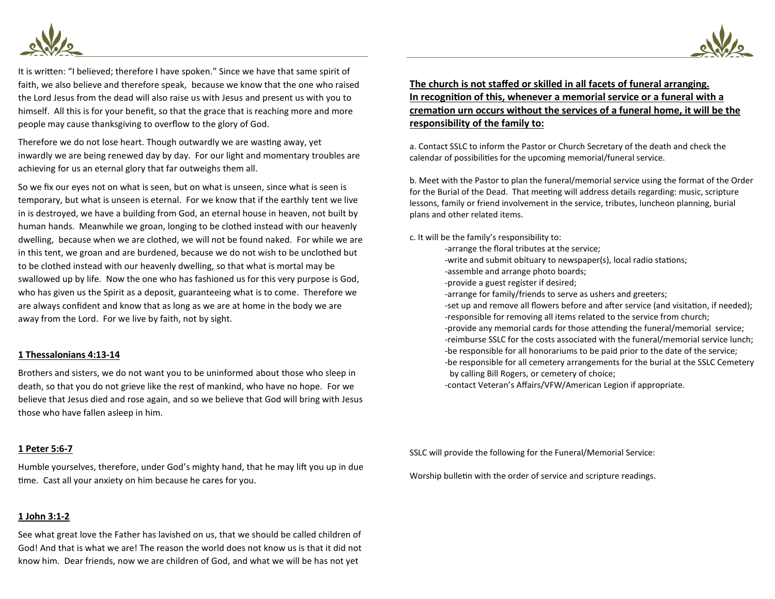



It is written: "I believed; therefore I have spoken." Since we have that same spirit of faith, we also believe and therefore speak, because we know that the one who raised the Lord Jesus from the dead will also raise us with Jesus and present us with you to himself. All this is for your benefit, so that the grace that is reaching more and more people may cause thanksgiving to overflow to the glory of God.

Therefore we do not lose heart. Though outwardly we are wasting away, yet inwardly we are being renewed day by day. For our light and momentary troubles are achieving for us an eternal glory that far outweighs them all.

So we fix our eyes not on what is seen, but on what is unseen, since what is seen is temporary, but what is unseen is eternal. For we know that if the earthly tent we live in is destroyed, we have a building from God, an eternal house in heaven, not built by human hands. Meanwhile we groan, longing to be clothed instead with our heavenly dwelling, because when we are clothed, we will not be found naked. For while we are in this tent, we groan and are burdened, because we do not wish to be unclothed but to be clothed instead with our heavenly dwelling, so that what is mortal may be swallowed up by life. Now the one who has fashioned us for this very purpose is God, who has given us the Spirit as a deposit, guaranteeing what is to come. Therefore we are always confident and know that as long as we are at home in the body we are away from the Lord. For we live by faith, not by sight.

# **1 Thessalonians 4:13-14**

Brothers and sisters, we do not want you to be uninformed about those who sleep in death, so that you do not grieve like the rest of mankind, who have no hope. For we believe that Jesus died and rose again, and so we believe that God will bring with Jesus those who have fallen asleep in him.

#### **1 Peter 5:6-7**

Humble yourselves, therefore, under God's mighty hand, that he may lift you up in due time. Cast all your anxiety on him because he cares for you.

# **1 John 3:1-2**

See what great love the Father has lavished on us, that we should be called children of God! And that is what we are! The reason the world does not know us is that it did not know him. Dear friends, now we are children of God, and what we will be has not yet

# **The church is not staffed or skilled in all facets of funeral arranging. In recognition of this, whenever a memorial service or a funeral with a cremation urn occurs without the services of a funeral home, it will be the responsibility of the family to:**

a. Contact SSLC to inform the Pastor or Church Secretary of the death and check the calendar of possibilities for the upcoming memorial/funeral service.

b. Meet with the Pastor to plan the funeral/memorial service using the format of the Order for the Burial of the Dead. That meeting will address details regarding: music, scripture lessons, family or friend involvement in the service, tributes, luncheon planning, burial plans and other related items.

c. It will be the family's responsibility to:

-arrange the floral tributes at the service; -write and submit obituary to newspaper(s), local radio stations; -assemble and arrange photo boards; -provide a guest register if desired; -arrange for family/friends to serve as ushers and greeters; -set up and remove all flowers before and after service (and visitation, if needed); -responsible for removing all items related to the service from church; -provide any memorial cards for those attending the funeral/memorial service; -reimburse SSLC for the costs associated with the funeral/memorial service lunch; -be responsible for all honorariums to be paid prior to the date of the service; -be responsible for all cemetery arrangements for the burial at the SSLC Cemetery by calling Bill Rogers, or cemetery of choice; -contact Veteran's Affairs/VFW/American Legion if appropriate.

SSLC will provide the following for the Funeral/Memorial Service:

Worship bulletin with the order of service and scripture readings.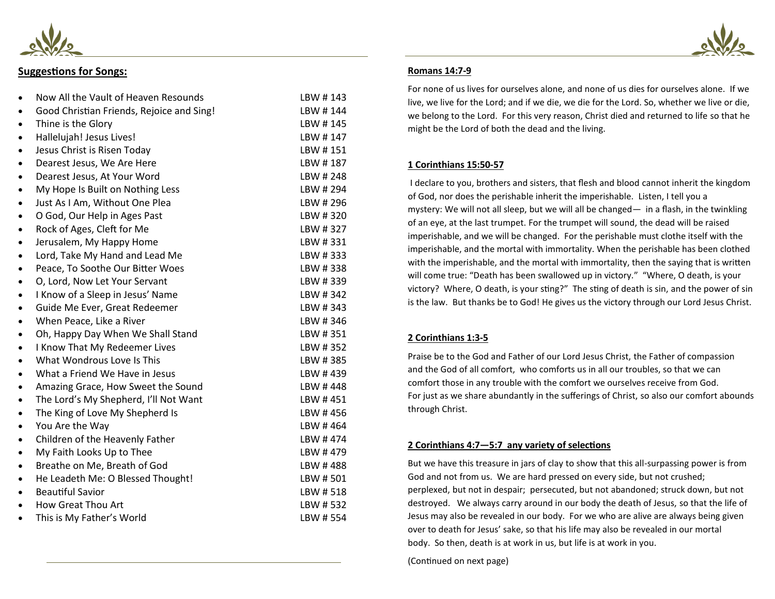

| $\bullet$ | Now All the Vault of Heaven Resounds      | LBW #143  |
|-----------|-------------------------------------------|-----------|
|           | Good Christian Friends, Rejoice and Sing! | LBW #144  |
| $\bullet$ | Thine is the Glory                        | LBW #145  |
| $\bullet$ | Hallelujah! Jesus Lives!                  | LBW #147  |
| $\bullet$ | Jesus Christ is Risen Today               | LBW #151  |
| $\bullet$ | Dearest Jesus, We Are Here                | LBW #187  |
| $\bullet$ | Dearest Jesus, At Your Word               | LBW # 248 |
| $\bullet$ | My Hope Is Built on Nothing Less          | LBW # 294 |
| $\bullet$ | Just As I Am, Without One Plea            | LBW #296  |
|           | O God, Our Help in Ages Past              | LBW #320  |
| $\bullet$ | Rock of Ages, Cleft for Me                | LBW #327  |
| $\bullet$ | Jerusalem, My Happy Home                  | LBW #331  |
|           | Lord, Take My Hand and Lead Me            | LBW #333  |
|           | Peace, To Soothe Our Bitter Woes          | LBW #338  |
|           | O, Lord, Now Let Your Servant             | LBW #339  |
| $\bullet$ | I Know of a Sleep in Jesus' Name          | LBW #342  |
|           | Guide Me Ever, Great Redeemer             | LBW #343  |
|           | When Peace, Like a River                  | LBW #346  |
| $\bullet$ | Oh, Happy Day When We Shall Stand         | LBW #351  |
| ٠         | I Know That My Redeemer Lives             | LBW #352  |
|           | What Wondrous Love Is This                | LBW #385  |
| $\bullet$ | What a Friend We Have in Jesus            | LBW #439  |
| $\bullet$ | Amazing Grace, How Sweet the Sound        | LBW #448  |
| $\bullet$ | The Lord's My Shepherd, I'll Not Want     | LBW #451  |
| $\bullet$ | The King of Love My Shepherd Is           | LBW #456  |
| ٠         | You Are the Way                           | LBW #464  |
| $\bullet$ | Children of the Heavenly Father           | LBW #474  |
| $\bullet$ | My Faith Looks Up to Thee                 | LBW #479  |
| $\bullet$ | Breathe on Me, Breath of God              | LBW #488  |
| $\bullet$ | He Leadeth Me: O Blessed Thought!         | LBW #501  |
| $\bullet$ | <b>Beautiful Savior</b>                   | LBW #518  |
|           | <b>How Great Thou Art</b>                 | LBW #532  |
|           | This is My Father's World                 | LBW #554  |
|           |                                           |           |

# **Romans 14:7 - 9**

For none of us lives for ourselves alone, and none of us dies for ourselves alone. If we live, we live for the Lord; and if we die, we die for the Lord. So, whether we live or die, we belong to the Lord. For this very reason, Christ died and returned to life so that he might be the Lord of both the dead and the living.

# **1 Corinthians 15:50 -57**

I declare to you, brothers and sisters, that flesh and blood cannot inherit the kingdom of God, nor does the perishable inherit the imperishable. Listen, I tell you a mystery: We will not all sleep, but we will all be changed — in a flash, in the twinkling of an eye, at the last trumpet. For the trumpet will sound, the dead will be raised imperishable, and we will be changed. For the perishable must clothe itself with the imperishable, and the mortal with immortality. When the perishable has been clothed with the imperishable, and the mortal with immortality, then the saying that is written will come true: "Death has been swallowed up in victory." "Where, O death, is your victory? Where, O death, is your sting?" The sting of death is sin, and the power of sin is the law. But thanks be to God! He gives us the victory through our Lord Jesus Christ.

# **2 Corinthians 1:3 - 5**

Praise be to the God and Father of our Lord Jesus Christ, the Father of compassion and the God of all comfort, who comforts us in all our troubles, so that we can comfort those in any trouble with the comfort we ourselves receive from God. For just as we share abundantly in the sufferings of Christ, so also our comfort abounds through Christ.

# **2 Corinthians 4:7 —5:7 any variety of selections**

But we have this treasure in jars of clay to show that this all -surpassing power is from God and not from us. We are hard pressed on every side, but not crushed; perplexed, but not in despair; persecuted, but not abandoned; struck down, but not destroyed. We always carry around in our body the death of Jesus, so that the life of Jesus may also be revealed in our body. For we who are alive are always being given over to death for Jesus' sake, so that his life may also be revealed in our mortal body. So then, death is at work in us, but life is at work in you.

(Continued on next page)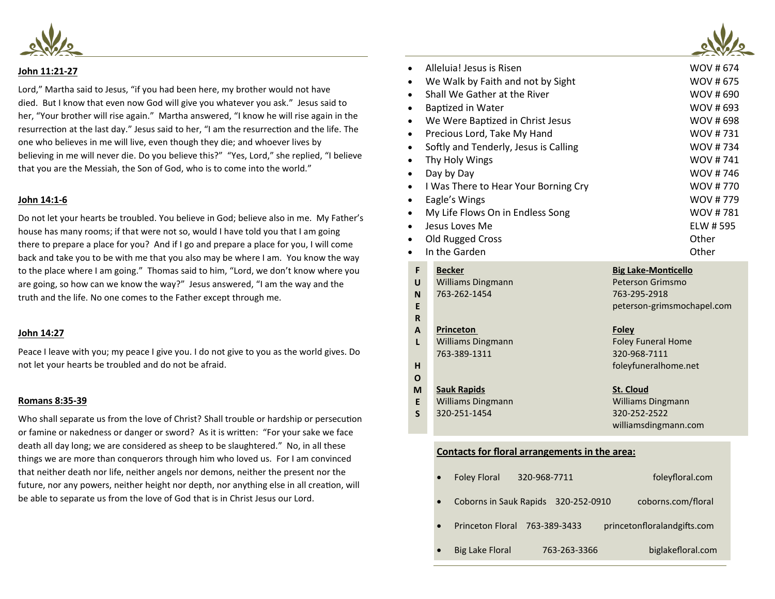

# **John 11:21-27**

Lord," Martha said to Jesus, "if you had been here, my brother would not have died. But I know that even now God will give you whatever you ask." Jesus said to her, "Your brother will rise again." Martha answered, "I know he will rise again in the resurrection at the last day." Jesus said to her, "I am the resurrection and the life. The one who believes in me will live, even though they die; and whoever lives by believing in me will never die. Do you believe this?" "Yes, Lord," she replied, "I believe that you are the Messiah, the Son of God, who is to come into the world."

# **John 14:1-6**

Do not let your hearts be troubled. You believe in God; believe also in me. My Father's house has many rooms; if that were not so, would I have told you that I am going there to prepare a place for you? And if I go and prepare a place for you, I will come back and take you to be with me that you also may be where I am. You know the way to the place where I am going." Thomas said to him, "Lord, we don't know where you are going, so how can we know the way?" Jesus answered, "I am the way and the truth and the life. No one comes to the Father except through me.

# **John 14:27**

Peace I leave with you; my peace I give you. I do not give to you as the world gives. Do not let your hearts be troubled and do not be afraid.

# **Romans 8:35-39**

Who shall separate us from the love of Christ? Shall trouble or hardship or persecution or famine or nakedness or danger or sword? As it is written: "For your sake we face death all day long; we are considered as sheep to be slaughtered." No, in all these things we are more than conquerors through him who loved us. For I am convinced that neither death nor life, neither angels nor demons, neither the present nor the future, nor any powers, neither height nor depth, nor anything else in all creation, will be able to separate us from the love of God that is in Christ Jesus our Lord.



| $\bullet$<br>$\bullet$<br>$\bullet$<br>$\bullet$<br>$\bullet$<br>$\bullet$<br>$\bullet$<br>$\bullet$<br>٠<br>$\bullet$<br>$\bullet$<br>$\bullet$<br>$\bullet$<br>$\bullet$ | Alleluia! Jesus is Risen<br>We Walk by Faith and not by Sight<br>Shall We Gather at the River<br><b>Baptized in Water</b><br>We Were Baptized in Christ Jesus<br>Precious Lord, Take My Hand<br>Softly and Tenderly, Jesus is Calling<br>Thy Holy Wings<br>Day by Day<br>I Was There to Hear Your Borning Cry<br>Eagle's Wings<br>My Life Flows On in Endless Song<br>Jesus Loves Me<br><b>Old Rugged Cross</b> | <b>WOV #674</b><br>WOV # 675<br>WOV#690<br>WOV #693<br>WOV #698<br>WOV #731<br>WOV #734<br>WOV #741<br>WOV #746<br>WOV #770<br>WOV #779<br>WOV #781<br>ELW # 595<br>Other |
|----------------------------------------------------------------------------------------------------------------------------------------------------------------------------|-----------------------------------------------------------------------------------------------------------------------------------------------------------------------------------------------------------------------------------------------------------------------------------------------------------------------------------------------------------------------------------------------------------------|---------------------------------------------------------------------------------------------------------------------------------------------------------------------------|
| $\bullet$                                                                                                                                                                  | In the Garden                                                                                                                                                                                                                                                                                                                                                                                                   | Other                                                                                                                                                                     |
| F<br>U<br>N<br>E<br>R                                                                                                                                                      | <b>Becker</b><br><b>Williams Dingmann</b><br>763-262-1454                                                                                                                                                                                                                                                                                                                                                       | <b>Big Lake-Monticello</b><br>Peterson Grimsmo<br>763-295-2918<br>peterson-grimsmochapel.com                                                                              |
| A<br>L<br>н                                                                                                                                                                | Princeton<br><b>Williams Dingmann</b><br>763-389-1311                                                                                                                                                                                                                                                                                                                                                           | Foley<br><b>Foley Funeral Home</b><br>320-968-7111<br>foleyfuneralhome.net                                                                                                |
| O                                                                                                                                                                          |                                                                                                                                                                                                                                                                                                                                                                                                                 |                                                                                                                                                                           |

**Sauk Rapids St. Cloud** Williams Dingmann Williams Dingmann **M E S**

320-251-1454 320-252-2522 williamsdingmann.com

# **Contacts for floral arrangements in the area:**

|  | <b>Foley Floral</b>                 | 320-968-7711 |              | foleyfloral.com             |
|--|-------------------------------------|--------------|--------------|-----------------------------|
|  | Coborns in Sauk Rapids 320-252-0910 |              |              | coborns.com/floral          |
|  | Princeton Floral 763-389-3433       |              |              | princetonfloralandgifts.com |
|  | <b>Big Lake Floral</b>              |              | 763-263-3366 | biglakefloral.com           |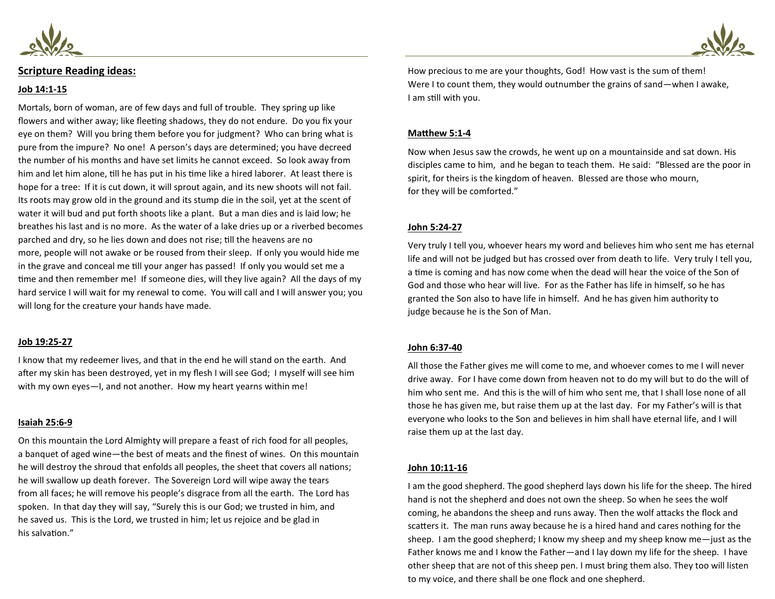# **Scripture Reading ideas:**

# **Job 14:1-15**

Mortals, born of woman, are of few days and full of trouble. They spring up like flowers and wither away; like fleeting shadows, they do not endure. Do you fix your eye on them? Will you bring them before you for judgment? Who can bring what is pure from the impure? No one! A person's days are determined; you have decreed the number of his months and have set limits he cannot exceed. So look away from him and let him alone, till he has put in his time like a hired laborer. At least there is hope for a tree: If it is cut down, it will sprout again, and its new shoots will not fail. Its roots may grow old in the ground and its stump die in the soil, yet at the scent of water it will bud and put forth shoots like a plant. But a man dies and is laid low; he breathes his last and is no more. As the water of a lake dries up or a riverbed becomes parched and dry, so he lies down and does not rise; till the heavens are no more, people will not awake or be roused from their sleep. If only you would hide me in the grave and conceal me till your anger has passed! If only you would set me a time and then remember me! If someone dies, will they live again? All the days of my hard service I will wait for my renewal to come. You will call and I will answer you; you will long for the creature your hands have made.

#### **Job 19:25-27**

I know that my redeemer lives, and that in the end he will stand on the earth. And after my skin has been destroyed, yet in my flesh I will see God; I myself will see him with my own eyes—I, and not another. How my heart yearns within me!

#### **Isaiah 25:6-9**

On this mountain the Lord Almighty will prepare a feast of rich food for all peoples, a banquet of aged wine—the best of meats and the finest of wines. On this mountain he will destroy the shroud that enfolds all peoples, the sheet that covers all nations; he will swallow up death forever. The Sovereign Lord will wipe away the tears from all faces; he will remove his people's disgrace from all the earth. The Lord has spoken. In that day they will say, "Surely this is our God; we trusted in him, and he saved us. This is the Lord, we trusted in him; let us rejoice and be glad in his salvation."



How precious to me are your thoughts, God! How vast is the sum of them! Were I to count them, they would outnumber the grains of sand—when I awake, I am still with you.

#### **Matthew 5:1-4**

Now when Jesus saw the crowds, he went up on a mountainside and sat down. His disciples came to him, and he began to teach them. He said: "Blessed are the poor in spirit, for theirs is the kingdom of heaven. Blessed are those who mourn, for they will be comforted."

### **John 5:24-27**

Very truly I tell you, whoever hears my word and believes him who sent me has eternal life and will not be judged but has crossed over from death to life. Very truly I tell you, a time is coming and has now come when the dead will hear the voice of the Son of God and those who hear will live. For as the Father has life in himself, so he has granted the Son also to have life in himself. And he has given him authority to judge because he is the Son of Man.

#### **John 6:37-40**

All those the Father gives me will come to me, and whoever comes to me I will never drive away. For I have come down from heaven not to do my will but to do the will of him who sent me. And this is the will of him who sent me, that I shall lose none of all those he has given me, but raise them up at the last day. For my Father's will is that everyone who looks to the Son and believes in him shall have eternal life, and I will raise them up at the last day.

# **John 10:11-16**

I am the good shepherd. The good shepherd lays down his life for the sheep. The hired hand is not the shepherd and does not own the sheep. So when he sees the wolf coming, he abandons the sheep and runs away. Then the wolf attacks the flock and scatters it. The man runs away because he is a hired hand and cares nothing for the sheep. I am the good shepherd; I know my sheep and my sheep know me—just as the Father knows me and I know the Father—and I lay down my life for the sheep. I have other sheep that are not of this sheep pen. I must bring them also. They too will listen to my voice, and there shall be one flock and one shepherd.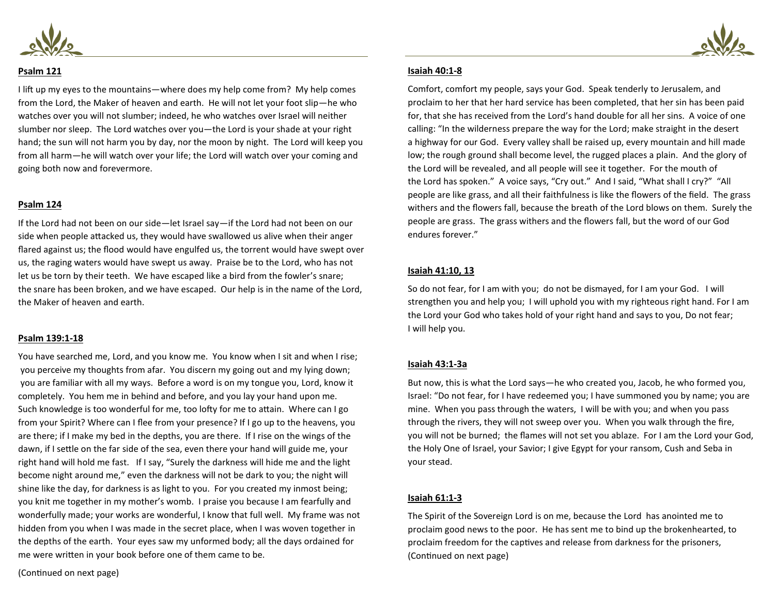

# **Psalm 121**

I lift up my eyes to the mountains—where does my help come from? My help comes from the Lord, the Maker of heaven and earth. He will not let your foot slip—he who watches over you will not slumber; indeed, he who watches over Israel will neither slumber nor sleep. The Lord watches over you—the Lord is your shade at your right hand; the sun will not harm you by day, nor the moon by night. The Lord will keep you from all harm—he will watch over your life; the Lord will watch over your coming and going both now and forevermore.

# **Psalm 124**

If the Lord had not been on our side—let Israel say—if the Lord had not been on our side when people attacked us, they would have swallowed us alive when their anger flared against us; the flood would have engulfed us, the torrent would have swept over us, the raging waters would have swept us away. Praise be to the Lord, who has not let us be torn by their teeth. We have escaped like a bird from the fowler's snare; the snare has been broken, and we have escaped. Our help is in the name of the Lord, the Maker of heaven and earth.

# **Psalm 139:1-18**

You have searched me, Lord, and you know me. You know when I sit and when I rise; you perceive my thoughts from afar. You discern my going out and my lying down; you are familiar with all my ways. Before a word is on my tongue you, Lord, know it completely. You hem me in behind and before, and you lay your hand upon me. Such knowledge is too wonderful for me, too lofty for me to attain. Where can I go from your Spirit? Where can I flee from your presence? If I go up to the heavens, you are there; if I make my bed in the depths, you are there. If I rise on the wings of the dawn, if I settle on the far side of the sea, even there your hand will guide me, your right hand will hold me fast. If I say, "Surely the darkness will hide me and the light become night around me," even the darkness will not be dark to you; the night will shine like the day, for darkness is as light to you. For you created my inmost being; you knit me together in my mother's womb. I praise you because I am fearfully and wonderfully made; your works are wonderful, I know that full well. My frame was not hidden from you when I was made in the secret place, when I was woven together in the depths of the earth. Your eyes saw my unformed body; all the days ordained for me were written in your book before one of them came to be.

# **Isaiah 40:1-8**

Comfort, comfort my people, says your God. Speak tenderly to Jerusalem, and proclaim to her that her hard service has been completed, that her sin has been paid for, that she has received from the Lord's hand double for all her sins. A voice of one calling: "In the wilderness prepare the way for the Lord; make straight in the desert a highway for our God. Every valley shall be raised up, every mountain and hill made low; the rough ground shall become level, the rugged places a plain. And the glory of the Lord will be revealed, and all people will see it together. For the mouth of the Lord has spoken." A voice says, "Cry out." And I said, "What shall I cry?" "All people are like grass, and all their faithfulness is like the flowers of the field. The grass withers and the flowers fall, because the breath of the Lord blows on them. Surely the people are grass. The grass withers and the flowers fall, but the word of our God endures forever."

# **Isaiah 41:10, 13**

So do not fear, for I am with you; do not be dismayed, for I am your God. I will strengthen you and help you; I will uphold you with my righteous right hand. For I am the Lord your God who takes hold of your right hand and says to you, Do not fear; I will help you.

# **Isaiah 43:1-3a**

But now, this is what the Lord says—he who created you, Jacob, he who formed you, Israel: "Do not fear, for I have redeemed you; I have summoned you by name; you are mine. When you pass through the waters, I will be with you; and when you pass through the rivers, they will not sweep over you. When you walk through the fire, you will not be burned; the flames will not set you ablaze. For I am the Lord your God, the Holy One of Israel, your Savior; I give Egypt for your ransom, Cush and Seba in your stead.

# **Isaiah 61:1-3**

The Spirit of the Sovereign Lord is on me, because the Lord has anointed me to proclaim good news to the poor. He has sent me to bind up the brokenhearted, to proclaim freedom for the captives and release from darkness for the prisoners, (Continued on next page)

(Continued on next page)